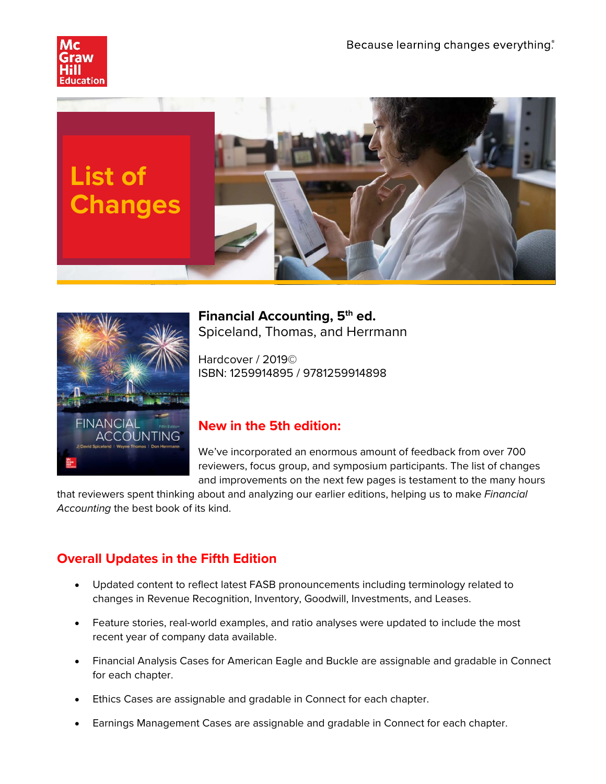





**Financial Accounting, 5th ed.** Spiceland, Thomas, and Herrmann

Hardcover / 2019© ISBN: 1259914895 / 9781259914898

# **New in the 5th edition:**

We've incorporated an enormous amount of feedback from over 700 reviewers, focus group, and symposium participants. The list of changes and improvements on the next few pages is testament to the many hours

that reviewers spent thinking about and analyzing our earlier editions, helping us to make *Financial Accounting* the best book of its kind.

# **Overall Updates in the Fifth Edition**

- Updated content to reflect latest FASB pronouncements including terminology related to changes in Revenue Recognition, Inventory, Goodwill, Investments, and Leases.
- Feature stories, real-world examples, and ratio analyses were updated to include the most recent year of company data available.
- Financial Analysis Cases for American Eagle and Buckle are assignable and gradable in Connect for each chapter.
- Ethics Cases are assignable and gradable in Connect for each chapter.
- Earnings Management Cases are assignable and gradable in Connect for each chapter.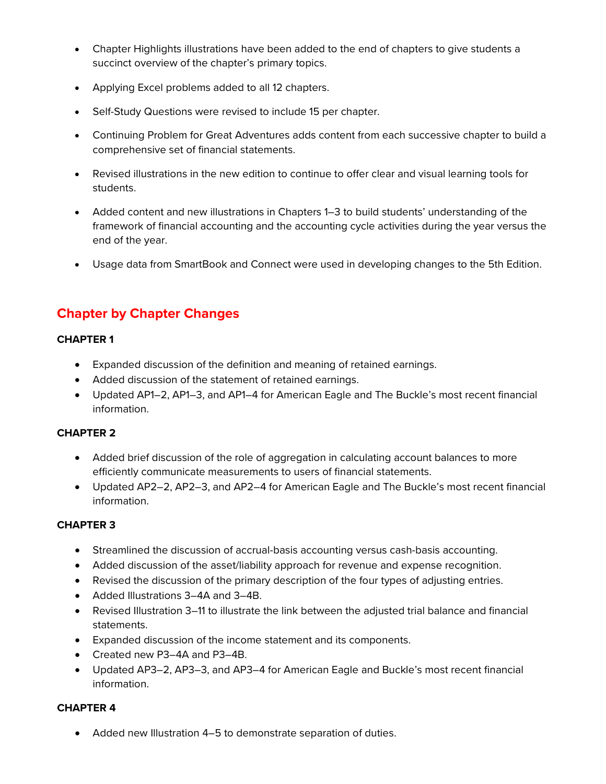- Chapter Highlights illustrations have been added to the end of chapters to give students a succinct overview of the chapter's primary topics.
- Applying Excel problems added to all 12 chapters.
- Self-Study Questions were revised to include 15 per chapter.
- Continuing Problem for Great Adventures adds content from each successive chapter to build a comprehensive set of financial statements.
- Revised illustrations in the new edition to continue to offer clear and visual learning tools for students.
- Added content and new illustrations in Chapters 1–3 to build students' understanding of the framework of financial accounting and the accounting cycle activities during the year versus the end of the year.
- Usage data from SmartBook and Connect were used in developing changes to the 5th Edition.

# **Chapter by Chapter Changes**

## **CHAPTER 1**

- Expanded discussion of the definition and meaning of retained earnings.
- Added discussion of the statement of retained earnings.
- Updated AP1–2, AP1–3, and AP1–4 for American Eagle and The Buckle's most recent financial information.

#### **CHAPTER 2**

- Added brief discussion of the role of aggregation in calculating account balances to more efficiently communicate measurements to users of financial statements.
- Updated AP2–2, AP2–3, and AP2–4 for American Eagle and The Buckle's most recent financial information.

# **CHAPTER 3**

- Streamlined the discussion of accrual-basis accounting versus cash-basis accounting.
- Added discussion of the asset/liability approach for revenue and expense recognition.
- Revised the discussion of the primary description of the four types of adjusting entries.
- Added Illustrations 3–4A and 3–4B.
- Revised Illustration 3–11 to illustrate the link between the adjusted trial balance and financial statements.
- Expanded discussion of the income statement and its components.
- Created new P3–4A and P3–4B.
- Updated AP3–2, AP3–3, and AP3–4 for American Eagle and Buckle's most recent financial information.

# **CHAPTER 4**

• Added new Illustration 4–5 to demonstrate separation of duties.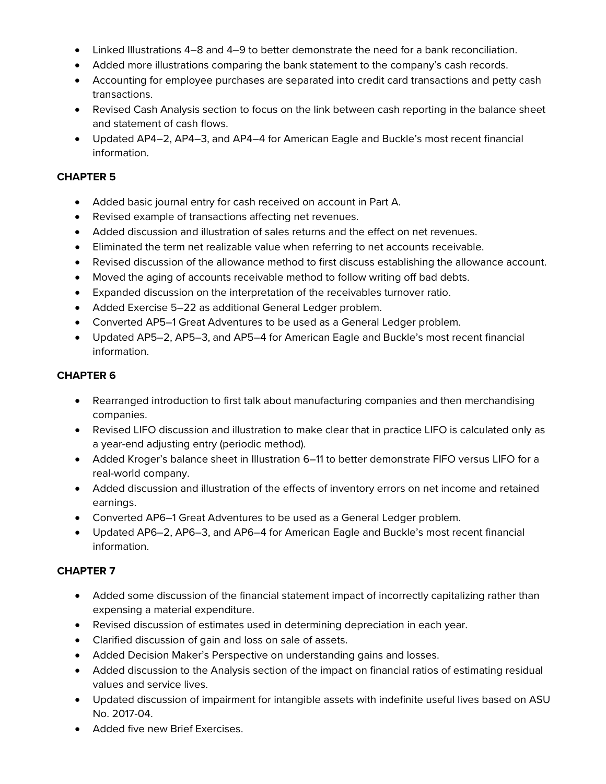- Linked Illustrations 4–8 and 4–9 to better demonstrate the need for a bank reconciliation.
- Added more illustrations comparing the bank statement to the company's cash records.
- Accounting for employee purchases are separated into credit card transactions and petty cash transactions.
- Revised Cash Analysis section to focus on the link between cash reporting in the balance sheet and statement of cash flows.
- Updated AP4–2, AP4–3, and AP4–4 for American Eagle and Buckle's most recent financial information.

### **CHAPTER 5**

- Added basic journal entry for cash received on account in Part A.
- Revised example of transactions affecting net revenues.
- Added discussion and illustration of sales returns and the effect on net revenues.
- Eliminated the term net realizable value when referring to net accounts receivable.
- Revised discussion of the allowance method to first discuss establishing the allowance account.
- Moved the aging of accounts receivable method to follow writing off bad debts.
- Expanded discussion on the interpretation of the receivables turnover ratio.
- Added Exercise 5–22 as additional General Ledger problem.
- Converted AP5–1 Great Adventures to be used as a General Ledger problem.
- Updated AP5–2, AP5–3, and AP5–4 for American Eagle and Buckle's most recent financial information.

#### **CHAPTER 6**

- Rearranged introduction to first talk about manufacturing companies and then merchandising companies.
- Revised LIFO discussion and illustration to make clear that in practice LIFO is calculated only as a year-end adjusting entry (periodic method).
- Added Kroger's balance sheet in Illustration 6–11 to better demonstrate FIFO versus LIFO for a real-world company.
- Added discussion and illustration of the effects of inventory errors on net income and retained earnings.
- Converted AP6–1 Great Adventures to be used as a General Ledger problem.
- Updated AP6–2, AP6–3, and AP6–4 for American Eagle and Buckle's most recent financial information.

#### **CHAPTER 7**

- Added some discussion of the financial statement impact of incorrectly capitalizing rather than expensing a material expenditure.
- Revised discussion of estimates used in determining depreciation in each year.
- Clarified discussion of gain and loss on sale of assets.
- Added Decision Maker's Perspective on understanding gains and losses.
- Added discussion to the Analysis section of the impact on financial ratios of estimating residual values and service lives.
- Updated discussion of impairment for intangible assets with indefinite useful lives based on ASU No. 2017-04.
- Added five new Brief Exercises.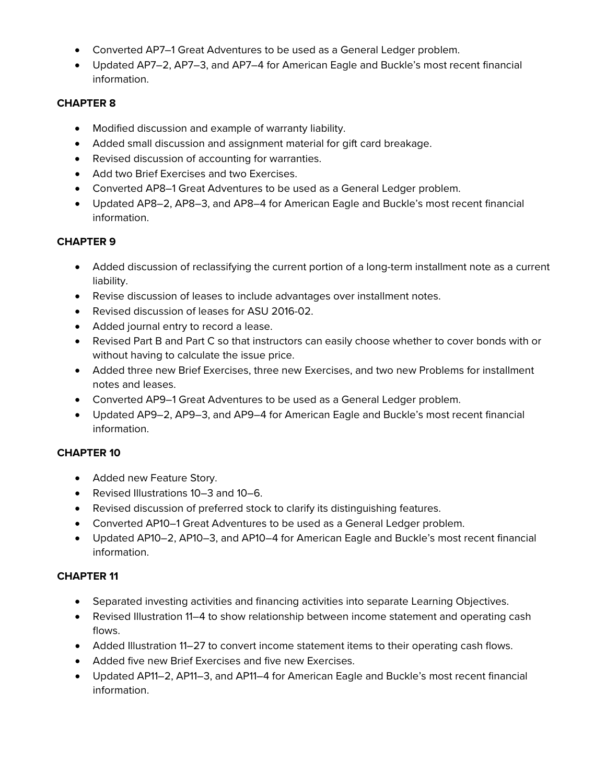- Converted AP7–1 Great Adventures to be used as a General Ledger problem.
- Updated AP7–2, AP7–3, and AP7–4 for American Eagle and Buckle's most recent financial information.

## **CHAPTER 8**

- Modified discussion and example of warranty liability.
- Added small discussion and assignment material for gift card breakage.
- Revised discussion of accounting for warranties.
- Add two Brief Exercises and two Exercises.
- Converted AP8–1 Great Adventures to be used as a General Ledger problem.
- Updated AP8–2, AP8–3, and AP8–4 for American Eagle and Buckle's most recent financial information.

## **CHAPTER 9**

- Added discussion of reclassifying the current portion of a long-term installment note as a current liability.
- Revise discussion of leases to include advantages over installment notes.
- Revised discussion of leases for ASU 2016-02.
- Added journal entry to record a lease.
- Revised Part B and Part C so that instructors can easily choose whether to cover bonds with or without having to calculate the issue price.
- Added three new Brief Exercises, three new Exercises, and two new Problems for installment notes and leases.
- Converted AP9–1 Great Adventures to be used as a General Ledger problem.
- Updated AP9–2, AP9–3, and AP9–4 for American Eagle and Buckle's most recent financial information.

#### **CHAPTER 10**

- Added new Feature Story.
- Revised Illustrations 10–3 and 10–6.
- Revised discussion of preferred stock to clarify its distinguishing features.
- Converted AP10–1 Great Adventures to be used as a General Ledger problem.
- Updated AP10–2, AP10–3, and AP10–4 for American Eagle and Buckle's most recent financial information.

#### **CHAPTER 11**

- Separated investing activities and financing activities into separate Learning Objectives.
- Revised Illustration 11–4 to show relationship between income statement and operating cash flows.
- Added Illustration 11–27 to convert income statement items to their operating cash flows.
- Added five new Brief Exercises and five new Exercises.
- Updated AP11–2, AP11–3, and AP11–4 for American Eagle and Buckle's most recent financial information.